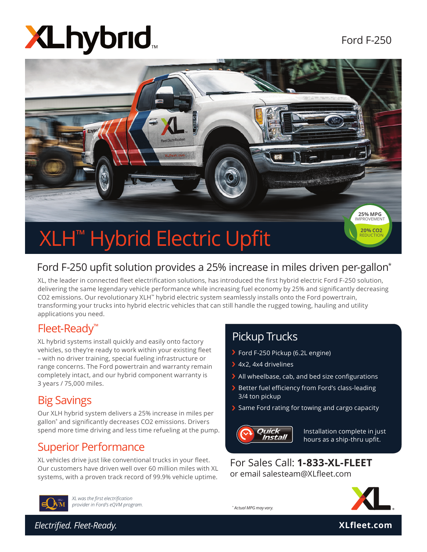# **XLhybrid**



#### Ford F-250 upfit solution provides a 25% increase in miles driven per-gallon<sup>\*</sup>

XL, the leader in connected fleet electrification solutions, has introduced the first hybrid electric Ford F-250 solution, delivering the same legendary vehicle performance while increasing fuel economy by 25% and significantly decreasing CO2 emissions. Our revolutionary XLH™ hybrid electric system seamlessly installs onto the Ford powertrain, transforming your trucks into hybrid electric vehicles that can still handle the rugged towing, hauling and utility applications you need.

#### Fleet-Ready™

XL hybrid systems install quickly and easily onto factory vehicles, so they're ready to work within your existing fleet<br>with a solition training are sighted in infract website and – with no driver training, special fueling infrastructure or range concerns. The Ford powertrain and warranty remain **Quick Install 6 Hours** completely intact, and our hybrid component warranty is 3 years / 75,000 miles.

#### Big Savings

Our XLH hybrid system delivers a 25% increase in miles per gallon\* and signifi cantly decreases CO2 emissions. Drivers spend more time driving and less time refueling at the pump.

#### Superior Performance

XL vehicles drive just like conventional trucks in your fleet. Our customers have driven well over 60 million miles with XL systems, with a proven track record of 99.9% vehicle uptime.

#### Pickup Trucks

- Ford F-250 Pickup (6.2L engine)
- 4x2, 4x4 drivelines
- $\blacktriangleright$  All wheelbase, cab, and bed size configurations
- $\blacktriangleright$  Better fuel efficiency from Ford's class-leading 3/4 ton pickup
- $\blacktriangleright$  Same Ford rating for towing and cargo capacity



*\* Actual MPG may vary.*

Installation complete in just hours as a ship-thru upfit.

For Sales Call: **1-833-XL-FLEET** or email salesteam@XLfleet.com



*XL was the fi rst electrifi cation provider in Ford's eQVM program.*